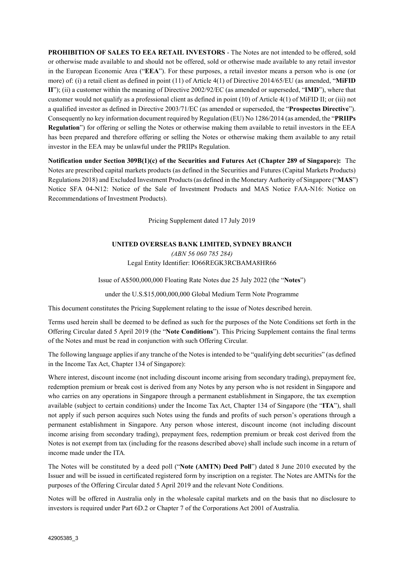**PROHIBITION OF SALES TO EEA RETAIL INVESTORS** - The Notes are not intended to be offered, sold or otherwise made available to and should not be offered, sold or otherwise made available to any retail investor in the European Economic Area ("**EEA**"). For these purposes, a retail investor means a person who is one (or more) of: (i) a retail client as defined in point (11) of Article 4(1) of Directive 2014/65/EU (as amended, "**MiFID II**"); (ii) a customer within the meaning of Directive 2002/92/EC (as amended or superseded, "**IMD**"), where that customer would not qualify as a professional client as defined in point (10) of Article 4(1) of MiFID II; or (iii) not a qualified investor as defined in Directive 2003/71/EC (as amended or superseded, the "**Prospectus Directive**"). Consequently no key information document required by Regulation (EU) No 1286/2014 (as amended, the "**PRIIPs Regulation**") for offering or selling the Notes or otherwise making them available to retail investors in the EEA has been prepared and therefore offering or selling the Notes or otherwise making them available to any retail investor in the EEA may be unlawful under the PRIIPs Regulation.

**Notification under Section 309B(1)(c) of the Securities and Futures Act (Chapter 289 of Singapore):** The Notes are prescribed capital markets products (as defined in the Securities and Futures (Capital Markets Products) Regulations 2018) and Excluded Investment Products (as defined in the Monetary Authority of Singapore ("**MAS**") Notice SFA 04-N12: Notice of the Sale of Investment Products and MAS Notice FAA-N16: Notice on Recommendations of Investment Products).

Pricing Supplement dated 17 July 2019

## **UNITED OVERSEAS BANK LIMITED, SYDNEY BRANCH**

*(ABN 56 060 785 284)*  Legal Entity Identifier: IO66REGK3RCBAMA8HR66

Issue of A\$500,000,000 Floating Rate Notes due 25 July 2022 (the "**Notes**")

under the U.S.\$15,000,000,000 Global Medium Term Note Programme

This document constitutes the Pricing Supplement relating to the issue of Notes described herein.

Terms used herein shall be deemed to be defined as such for the purposes of the Note Conditions set forth in the Offering Circular dated 5 April 2019 (the "**Note Conditions**"). This Pricing Supplement contains the final terms of the Notes and must be read in conjunction with such Offering Circular.

The following language applies if any tranche of the Notes is intended to be "qualifying debt securities" (as defined in the Income Tax Act, Chapter 134 of Singapore):

Where interest, discount income (not including discount income arising from secondary trading), prepayment fee, redemption premium or break cost is derived from any Notes by any person who is not resident in Singapore and who carries on any operations in Singapore through a permanent establishment in Singapore, the tax exemption available (subject to certain conditions) under the Income Tax Act, Chapter 134 of Singapore (the "**ITA**"), shall not apply if such person acquires such Notes using the funds and profits of such person's operations through a permanent establishment in Singapore. Any person whose interest, discount income (not including discount income arising from secondary trading), prepayment fees, redemption premium or break cost derived from the Notes is not exempt from tax (including for the reasons described above) shall include such income in a return of income made under the ITA*.*

The Notes will be constituted by a deed poll ("**Note (AMTN) Deed Poll**") dated 8 June 2010 executed by the Issuer and will be issued in certificated registered form by inscription on a register. The Notes are AMTNs for the purposes of the Offering Circular dated 5 April 2019 and the relevant Note Conditions.

Notes will be offered in Australia only in the wholesale capital markets and on the basis that no disclosure to investors is required under Part 6D.2 or Chapter 7 of the Corporations Act 2001 of Australia.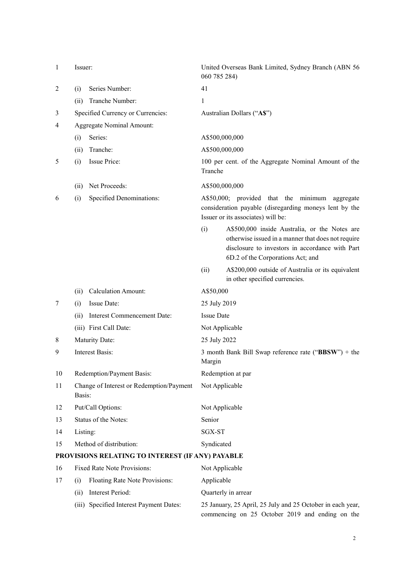| $\mathbf{1}$                                     | Issuer:                                            |                                               | 060 785 284)      | United Overseas Bank Limited, Sydney Branch (ABN 56                                                                                                                                         |  |
|--------------------------------------------------|----------------------------------------------------|-----------------------------------------------|-------------------|---------------------------------------------------------------------------------------------------------------------------------------------------------------------------------------------|--|
| $\overline{2}$                                   | (i)                                                | Series Number:                                | 41                |                                                                                                                                                                                             |  |
|                                                  | (ii)                                               | Tranche Number:                               | 1                 |                                                                                                                                                                                             |  |
| 3                                                |                                                    | Specified Currency or Currencies:             |                   | Australian Dollars ("A\$")                                                                                                                                                                  |  |
| 4                                                | <b>Aggregate Nominal Amount:</b>                   |                                               |                   |                                                                                                                                                                                             |  |
|                                                  | (i)                                                | Series:                                       | A\$500,000,000    |                                                                                                                                                                                             |  |
|                                                  | (ii)                                               | Tranche:                                      | A\$500,000,000    |                                                                                                                                                                                             |  |
| 5                                                | (i)                                                | Issue Price:                                  | Tranche           | 100 per cent. of the Aggregate Nominal Amount of the                                                                                                                                        |  |
|                                                  | (ii)                                               | Net Proceeds:                                 | A\$500,000,000    |                                                                                                                                                                                             |  |
| 6                                                | (i)                                                | Specified Denominations:                      |                   | A\$50,000; provided that the minimum aggregate<br>consideration payable (disregarding moneys lent by the<br>Issuer or its associates) will be:                                              |  |
|                                                  |                                                    |                                               | (i)               | A\$500,000 inside Australia, or the Notes are<br>otherwise issued in a manner that does not require<br>disclosure to investors in accordance with Part<br>6D.2 of the Corporations Act; and |  |
|                                                  |                                                    |                                               | (ii)              | A\$200,000 outside of Australia or its equivalent<br>in other specified currencies.                                                                                                         |  |
|                                                  | (ii)                                               | <b>Calculation Amount:</b>                    | A\$50,000         |                                                                                                                                                                                             |  |
| 7                                                | (i)                                                | Issue Date:                                   | 25 July 2019      |                                                                                                                                                                                             |  |
|                                                  | (ii)                                               | Interest Commencement Date:                   | <b>Issue Date</b> |                                                                                                                                                                                             |  |
|                                                  |                                                    | (iii) First Call Date:                        | Not Applicable    |                                                                                                                                                                                             |  |
| 8                                                | Maturity Date:                                     |                                               | 25 July 2022      |                                                                                                                                                                                             |  |
| 9                                                | <b>Interest Basis:</b>                             |                                               | Margin            | 3 month Bank Bill Swap reference rate ("BBSW") + the                                                                                                                                        |  |
| 10                                               | Redemption/Payment Basis:<br>Redemption at par     |                                               |                   |                                                                                                                                                                                             |  |
| 11                                               | Change of Interest or Redemption/Payment<br>Basis: |                                               | Not Applicable    |                                                                                                                                                                                             |  |
| 12                                               | Put/Call Options:                                  |                                               | Not Applicable    |                                                                                                                                                                                             |  |
| 13                                               | Status of the Notes:                               |                                               | Senior            |                                                                                                                                                                                             |  |
| 14                                               | Listing:                                           |                                               | SGX-ST            |                                                                                                                                                                                             |  |
| 15                                               | Method of distribution:                            |                                               | Syndicated        |                                                                                                                                                                                             |  |
| PROVISIONS RELATING TO INTEREST (IF ANY) PAYABLE |                                                    |                                               |                   |                                                                                                                                                                                             |  |
| 16                                               |                                                    | Fixed Rate Note Provisions:<br>Not Applicable |                   |                                                                                                                                                                                             |  |
| 17                                               | (i)                                                | Floating Rate Note Provisions:                | Applicable        |                                                                                                                                                                                             |  |
|                                                  | (ii)                                               | Interest Period:                              |                   | Quarterly in arrear                                                                                                                                                                         |  |

 (iii) Specified Interest Payment Dates: 25 January, 25 April, 25 July and 25 October in each year, commencing on 25 October 2019 and ending on the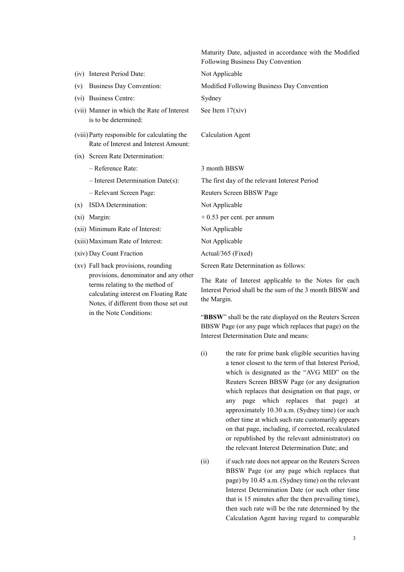|         |                                                                                                                   | Maturity Date, adjusted in accordance with the Modified<br>Following Business Day Convention                      |
|---------|-------------------------------------------------------------------------------------------------------------------|-------------------------------------------------------------------------------------------------------------------|
|         | (iv) Interest Period Date:                                                                                        | Not Applicable                                                                                                    |
| (v)     | Business Day Convention:                                                                                          | Modified Following Business Day Convention                                                                        |
|         | (vi) Business Centre:                                                                                             | Sydney                                                                                                            |
|         | (vii) Manner in which the Rate of Interest<br>is to be determined:                                                | See Item $17(xiv)$                                                                                                |
|         | (viii) Party responsible for calculating the<br>Rate of Interest and Interest Amount:                             | <b>Calculation Agent</b>                                                                                          |
|         | (ix) Screen Rate Determination:                                                                                   |                                                                                                                   |
|         | - Reference Rate:                                                                                                 | 3 month BBSW                                                                                                      |
|         | $-$ Interest Determination Date(s):                                                                               | The first day of the relevant Interest Period                                                                     |
|         | - Relevant Screen Page:                                                                                           | Reuters Screen BBSW Page                                                                                          |
| (x)     | ISDA Determination:                                                                                               | Not Applicable                                                                                                    |
| $(x_i)$ | Margin:                                                                                                           | $+0.53$ per cent. per annum                                                                                       |
|         | (xii) Minimum Rate of Interest:                                                                                   | Not Applicable                                                                                                    |
|         | (xiii) Maximum Rate of Interest:                                                                                  | Not Applicable                                                                                                    |
|         | (xiv) Day Count Fraction                                                                                          | Actual/365 (Fixed)                                                                                                |
|         | (xv) Fall back provisions, rounding                                                                               | Screen Rate Determination as follows:                                                                             |
|         | provisions, denominator and any other<br>terms relating to the method of<br>calculating interest on Floating Rate | The Rate of Interest applicable to the Notes for each<br>Interest Period shall be the sum of the 3 month BBSW and |

Notes, if different from those set out

in the Note Conditions:

Interest Period shall be the sum of the 3 month BBSW and the Margin.

"**BBSW**" shall be the rate displayed on the Reuters Screen BBSW Page (or any page which replaces that page) on the Interest Determination Date and means:

(i) the rate for prime bank eligible securities having a tenor closest to the term of that Interest Period, which is designated as the "AVG MID" on the Reuters Screen BBSW Page (or any designation which replaces that designation on that page, or any page which replaces that page) at approximately 10.30 a.m. (Sydney time) (or such other time at which such rate customarily appears on that page, including, if corrected, recalculated or republished by the relevant administrator) on the relevant Interest Determination Date; and

(ii) if such rate does not appear on the Reuters Screen BBSW Page (or any page which replaces that page) by 10.45 a.m. (Sydney time) on the relevant Interest Determination Date (or such other time that is 15 minutes after the then prevailing time), then such rate will be the rate determined by the Calculation Agent having regard to comparable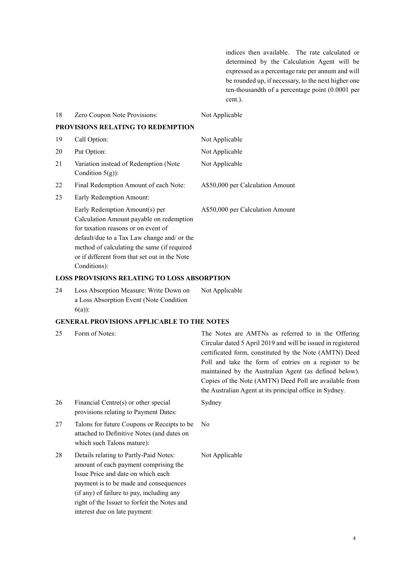indices then available. The rate calculated or determined by the Calculation Agent will be expressed as a percentage rate per annum and will be rounded up, if necessary, to the next higher one ten-thousandth of a percentage point (0.0001 per cent.).

| 18 | Zero Coupon Note Provisions:                                                                                                                                                                                                                                                     | Not Applicable                                                                                                                                                                                                                                                                                                                                                                                                       |
|----|----------------------------------------------------------------------------------------------------------------------------------------------------------------------------------------------------------------------------------------------------------------------------------|----------------------------------------------------------------------------------------------------------------------------------------------------------------------------------------------------------------------------------------------------------------------------------------------------------------------------------------------------------------------------------------------------------------------|
|    | PROVISIONS RELATING TO REDEMPTION                                                                                                                                                                                                                                                |                                                                                                                                                                                                                                                                                                                                                                                                                      |
| 19 | Call Option:                                                                                                                                                                                                                                                                     | Not Applicable                                                                                                                                                                                                                                                                                                                                                                                                       |
| 20 | Put Option:                                                                                                                                                                                                                                                                      | Not Applicable                                                                                                                                                                                                                                                                                                                                                                                                       |
| 21 | Variation instead of Redemption (Note<br>Condition $5(g)$ :                                                                                                                                                                                                                      | Not Applicable                                                                                                                                                                                                                                                                                                                                                                                                       |
| 22 | Final Redemption Amount of each Note:                                                                                                                                                                                                                                            | A\$50,000 per Calculation Amount                                                                                                                                                                                                                                                                                                                                                                                     |
| 23 | Early Redemption Amount:                                                                                                                                                                                                                                                         |                                                                                                                                                                                                                                                                                                                                                                                                                      |
|    | Early Redemption Amount(s) per<br>Calculation Amount payable on redemption<br>for taxation reasons or on event of<br>default/due to a Tax Law change and/ or the<br>method of calculating the same (if required<br>or if different from that set out in the Note<br>Conditions): | A\$50,000 per Calculation Amount                                                                                                                                                                                                                                                                                                                                                                                     |
|    | <b>LOSS PROVISIONS RELATING TO LOSS ABSORPTION</b>                                                                                                                                                                                                                               |                                                                                                                                                                                                                                                                                                                                                                                                                      |
| 24 | Loss Absorption Measure: Write Down on<br>a Loss Absorption Event (Note Condition<br>$6(a)$ :                                                                                                                                                                                    | Not Applicable                                                                                                                                                                                                                                                                                                                                                                                                       |
|    | <b>GENERAL PROVISIONS APPLICABLE TO THE NOTES</b>                                                                                                                                                                                                                                |                                                                                                                                                                                                                                                                                                                                                                                                                      |
| 25 | Form of Notes:                                                                                                                                                                                                                                                                   | The Notes are AMTNs as referred to in the Offering<br>Circular dated 5 April 2019 and will be issued in registered<br>certificated form, constituted by the Note (AMTN) Deed<br>Poll and take the form of entries on a register to be<br>maintained by the Australian Agent (as defined below).<br>Copies of the Note (AMTN) Deed Poll are available from<br>the Australian Agent at its principal office in Sydney. |
| 26 | Financial Centre(s) or other special<br>provisions relating to Payment Dates:                                                                                                                                                                                                    | Sydney                                                                                                                                                                                                                                                                                                                                                                                                               |
| 27 | Talons for future Coupons or Receipts to be<br>attached to Definitive Notes (and dates on<br>which such Talons mature):                                                                                                                                                          | No                                                                                                                                                                                                                                                                                                                                                                                                                   |
| 28 | Details relating to Partly-Paid Notes:<br>amount of each payment comprising the<br>Issue Price and date on which each<br>payment is to be made and consequences<br>(if any) of failure to pay, including any<br>right of the Issuer to forfeit the Notes and                     | Not Applicable                                                                                                                                                                                                                                                                                                                                                                                                       |

interest due on late payment: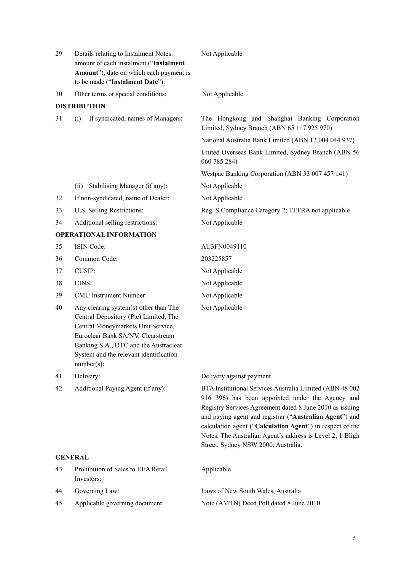| 29             | Details relating to Instalment Notes:<br>amount of each instalment ("Instalment<br>Amount"), date on which each payment is<br>to be made ("Instalment Date"):                                                                                                 | Not Applicable                                                                                                                                                                                                                                                                                                                                                                                       |
|----------------|---------------------------------------------------------------------------------------------------------------------------------------------------------------------------------------------------------------------------------------------------------------|------------------------------------------------------------------------------------------------------------------------------------------------------------------------------------------------------------------------------------------------------------------------------------------------------------------------------------------------------------------------------------------------------|
| 30             | Other terms or special conditions:                                                                                                                                                                                                                            | Not Applicable                                                                                                                                                                                                                                                                                                                                                                                       |
|                | <b>DISTRIBUTION</b>                                                                                                                                                                                                                                           |                                                                                                                                                                                                                                                                                                                                                                                                      |
| 31             | If syndicated, names of Managers:<br>(i)                                                                                                                                                                                                                      | The Hongkong and Shanghai Banking Corporation<br>Limited, Sydney Branch (ABN 65 117 925 970)                                                                                                                                                                                                                                                                                                         |
|                |                                                                                                                                                                                                                                                               | National Australia Bank Limited (ABN 12 004 044 937)                                                                                                                                                                                                                                                                                                                                                 |
|                |                                                                                                                                                                                                                                                               | United Overseas Bank Limited, Sydney Branch (ABN 56<br>060 785 284)                                                                                                                                                                                                                                                                                                                                  |
|                |                                                                                                                                                                                                                                                               | Westpac Banking Corporation (ABN 33 007 457 141)                                                                                                                                                                                                                                                                                                                                                     |
|                | Stabilising Manager (if any):<br>(ii)                                                                                                                                                                                                                         | Not Applicable                                                                                                                                                                                                                                                                                                                                                                                       |
| 32             | If non-syndicated, name of Dealer:                                                                                                                                                                                                                            | Not Applicable                                                                                                                                                                                                                                                                                                                                                                                       |
| 33             | U.S. Selling Restrictions:                                                                                                                                                                                                                                    | Reg. S Compliance Category 2; TEFRA not applicable                                                                                                                                                                                                                                                                                                                                                   |
| 34             | Additional selling restrictions:                                                                                                                                                                                                                              | Not Applicable                                                                                                                                                                                                                                                                                                                                                                                       |
|                | <b>OPERATIONAL INFORMATION</b>                                                                                                                                                                                                                                |                                                                                                                                                                                                                                                                                                                                                                                                      |
| 35             | ISIN Code:                                                                                                                                                                                                                                                    | AU3FN0049110                                                                                                                                                                                                                                                                                                                                                                                         |
| 36             | Common Code:                                                                                                                                                                                                                                                  | 203225857                                                                                                                                                                                                                                                                                                                                                                                            |
| 37             | <b>CUSIP:</b>                                                                                                                                                                                                                                                 | Not Applicable                                                                                                                                                                                                                                                                                                                                                                                       |
| 38             | CINS:                                                                                                                                                                                                                                                         | Not Applicable                                                                                                                                                                                                                                                                                                                                                                                       |
| 39             | CMU Instrument Number:                                                                                                                                                                                                                                        | Not Applicable                                                                                                                                                                                                                                                                                                                                                                                       |
| 40             | Any clearing system(s) other than The<br>Central Depository (Pte) Limited, The<br>Central Moneymarkets Unit Service,<br>Euroclear Bank SA/NV, Clearstream<br>Banking S.A., DTC and the Austraclear<br>System and the relevant identification<br>$number(s)$ : | Not Applicable                                                                                                                                                                                                                                                                                                                                                                                       |
| 41             | Delivery:                                                                                                                                                                                                                                                     | Delivery against payment                                                                                                                                                                                                                                                                                                                                                                             |
| 42             | Additional Paying Agent (if any):                                                                                                                                                                                                                             | BTA Institutional Services Australia Limited (ABN 48 002<br>916 396) has been appointed under the Agency and<br>Registry Services Agreement dated 8 June 2010 as issuing<br>and paying agent and registrar ("Australian Agent") and<br>calculation agent ("Calculation Agent") in respect of the<br>Notes. The Australian Agent's address is Level 2, 1 Bligh<br>Street, Sydney NSW 2000, Australia. |
| <b>GENERAL</b> |                                                                                                                                                                                                                                                               |                                                                                                                                                                                                                                                                                                                                                                                                      |
| 43             | Prohibition of Sales to EEA Retail<br>Investors:                                                                                                                                                                                                              | Applicable                                                                                                                                                                                                                                                                                                                                                                                           |
| 44             | Governing Law:                                                                                                                                                                                                                                                | Laws of New South Wales, Australia                                                                                                                                                                                                                                                                                                                                                                   |
| 45             | Applicable governing document:                                                                                                                                                                                                                                | Note (AMTN) Deed Poll dated 8 June 2010                                                                                                                                                                                                                                                                                                                                                              |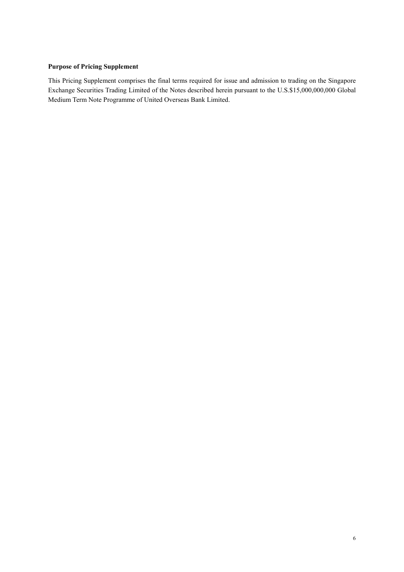## **Purpose of Pricing Supplement**

This Pricing Supplement comprises the final terms required for issue and admission to trading on the Singapore Exchange Securities Trading Limited of the Notes described herein pursuant to the U.S.\$15,000,000,000 Global Medium Term Note Programme of United Overseas Bank Limited.